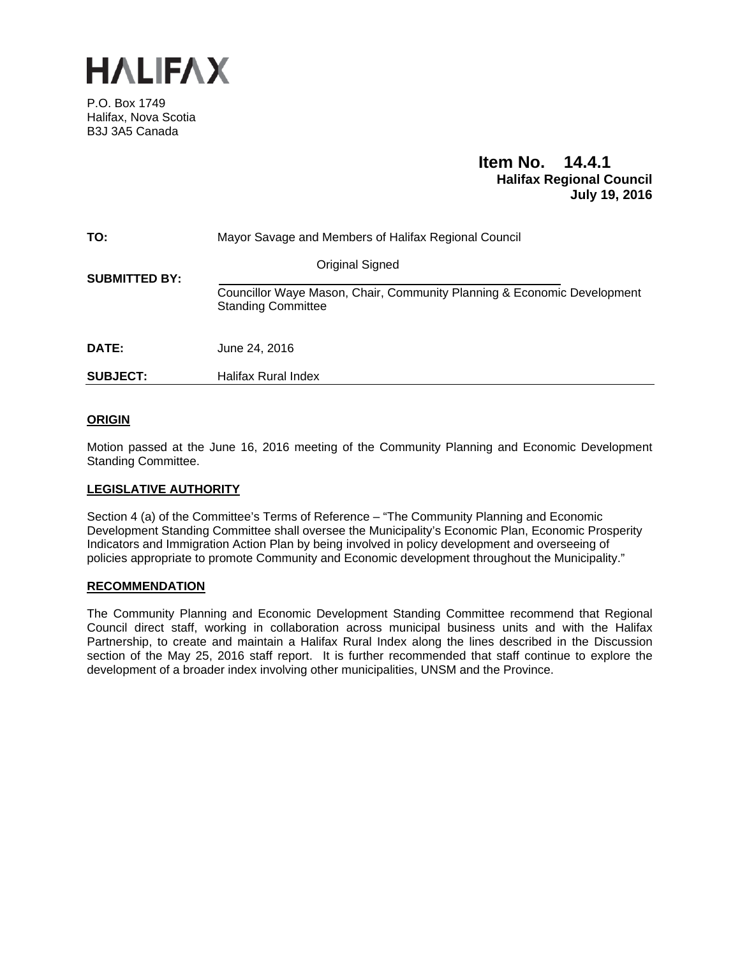

P.O. Box 1749 Halifax, Nova Scotia B3J 3A5 Canada

# **Item No. 14.4.1 Halifax Regional Council July 19, 2016**

| TO:                  | Mayor Savage and Members of Halifax Regional Council                                                 |  |
|----------------------|------------------------------------------------------------------------------------------------------|--|
| <b>SUBMITTED BY:</b> | Original Signed                                                                                      |  |
|                      | Councillor Waye Mason, Chair, Community Planning & Economic Development<br><b>Standing Committee</b> |  |
| DATE:                | June 24, 2016                                                                                        |  |
| <b>SUBJECT:</b>      | <b>Halifax Rural Index</b>                                                                           |  |

## **ORIGIN**

Motion passed at the June 16, 2016 meeting of the Community Planning and Economic Development Standing Committee.

### **LEGISLATIVE AUTHORITY**

Section 4 (a) of the Committee's Terms of Reference – "The Community Planning and Economic Development Standing Committee shall oversee the Municipality's Economic Plan, Economic Prosperity Indicators and Immigration Action Plan by being involved in policy development and overseeing of policies appropriate to promote Community and Economic development throughout the Municipality."

#### **RECOMMENDATION**

The Community Planning and Economic Development Standing Committee recommend that Regional Council direct staff, working in collaboration across municipal business units and with the Halifax Partnership, to create and maintain a Halifax Rural Index along the lines described in the Discussion section of the May 25, 2016 staff report. It is further recommended that staff continue to explore the development of a broader index involving other municipalities, UNSM and the Province.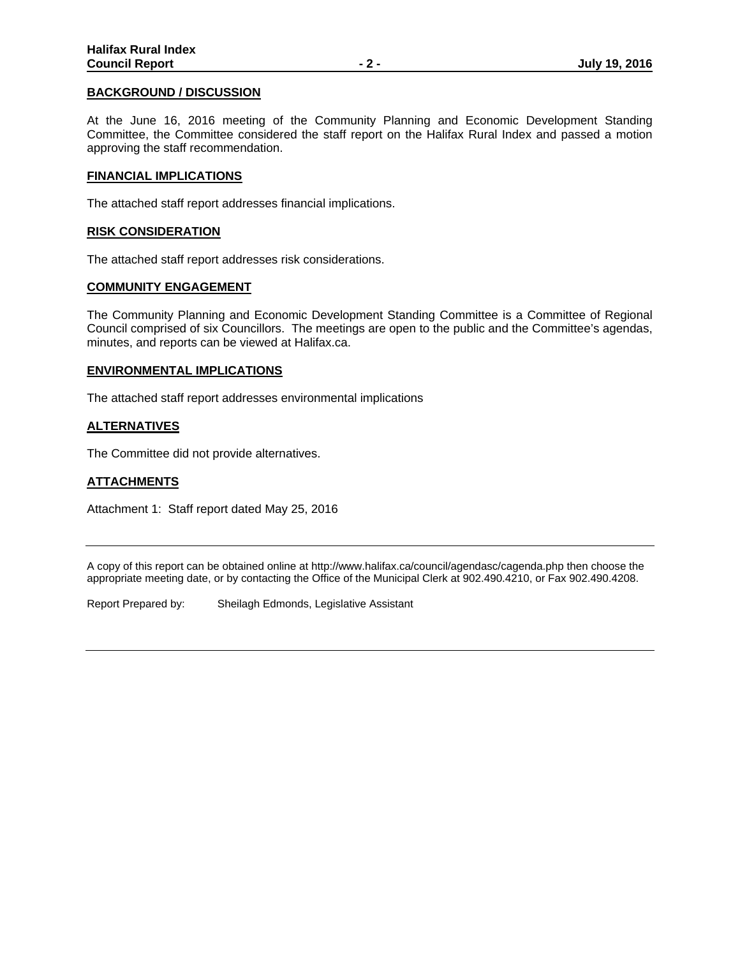### **BACKGROUND / DISCUSSION**

At the June 16, 2016 meeting of the Community Planning and Economic Development Standing Committee, the Committee considered the staff report on the Halifax Rural Index and passed a motion approving the staff recommendation.

### **FINANCIAL IMPLICATIONS**

The attached staff report addresses financial implications.

### **RISK CONSIDERATION**

The attached staff report addresses risk considerations.

### **COMMUNITY ENGAGEMENT**

The Community Planning and Economic Development Standing Committee is a Committee of Regional Council comprised of six Councillors. The meetings are open to the public and the Committee's agendas, minutes, and reports can be viewed at Halifax.ca.

### **ENVIRONMENTAL IMPLICATIONS**

The attached staff report addresses environmental implications

### **ALTERNATIVES**

The Committee did not provide alternatives.

### **ATTACHMENTS**

Attachment 1: Staff report dated May 25, 2016

A copy of this report can be obtained online at http://www.halifax.ca/council/agendasc/cagenda.php then choose the appropriate meeting date, or by contacting the Office of the Municipal Clerk at 902.490.4210, or Fax 902.490.4208.

Report Prepared by: Sheilagh Edmonds, Legislative Assistant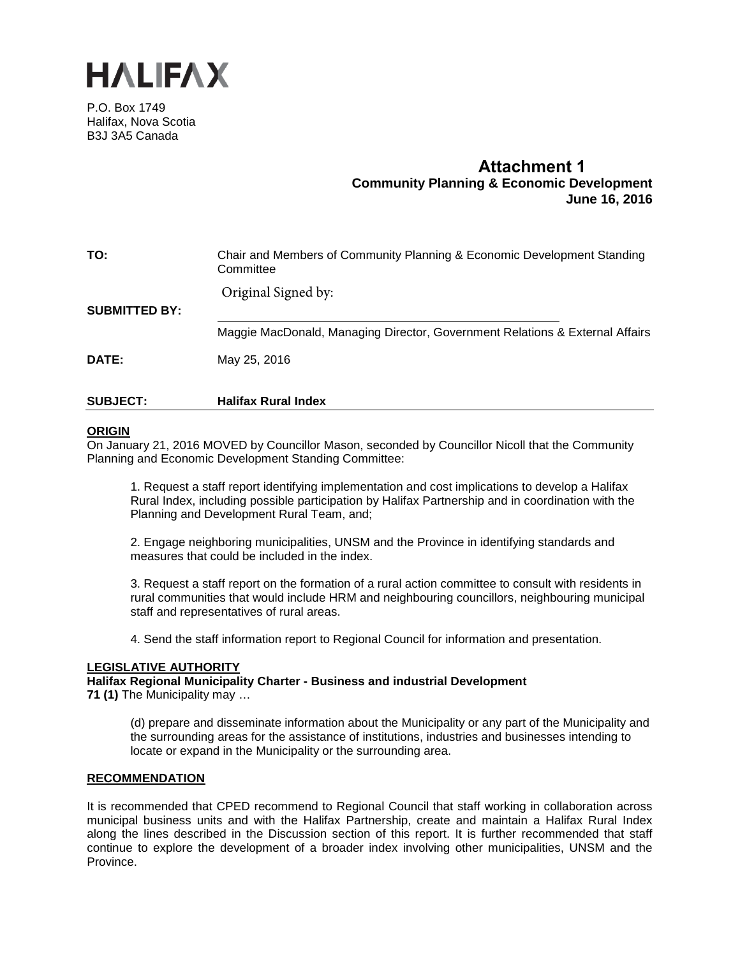

P.O. Box 1749 Halifax, Nova Scotia B3J 3A5 Canada

# **Attachment 1 Community Planning & Economic Development June 16, 2016**

| TO:                  | Chair and Members of Community Planning & Economic Development Standing<br>Committee |
|----------------------|--------------------------------------------------------------------------------------|
|                      | Original Signed by:                                                                  |
| <b>SUBMITTED BY:</b> |                                                                                      |
|                      | Maggie MacDonald, Managing Director, Government Relations & External Affairs         |
| <b>DATE:</b>         | May 25, 2016                                                                         |
|                      |                                                                                      |

### **SUBJECT: Halifax Rural Index**

### **ORIGIN**

On January 21, 2016 MOVED by Councillor Mason, seconded by Councillor Nicoll that the Community Planning and Economic Development Standing Committee:

1. Request a staff report identifying implementation and cost implications to develop a Halifax Rural Index, including possible participation by Halifax Partnership and in coordination with the Planning and Development Rural Team, and;

2. Engage neighboring municipalities, UNSM and the Province in identifying standards and measures that could be included in the index.

3. Request a staff report on the formation of a rural action committee to consult with residents in rural communities that would include HRM and neighbouring councillors, neighbouring municipal staff and representatives of rural areas.

4. Send the staff information report to Regional Council for information and presentation.

### **LEGISLATIVE AUTHORITY**

**Halifax Regional Municipality Charter - Business and industrial Development**

**71 (1)** The Municipality may …

(d) prepare and disseminate information about the Municipality or any part of the Municipality and the surrounding areas for the assistance of institutions, industries and businesses intending to locate or expand in the Municipality or the surrounding area.

### **RECOMMENDATION**

It is recommended that CPED recommend to Regional Council that staff working in collaboration across municipal business units and with the Halifax Partnership, create and maintain a Halifax Rural Index along the lines described in the Discussion section of this report. It is further recommended that staff continue to explore the development of a broader index involving other municipalities, UNSM and the Province.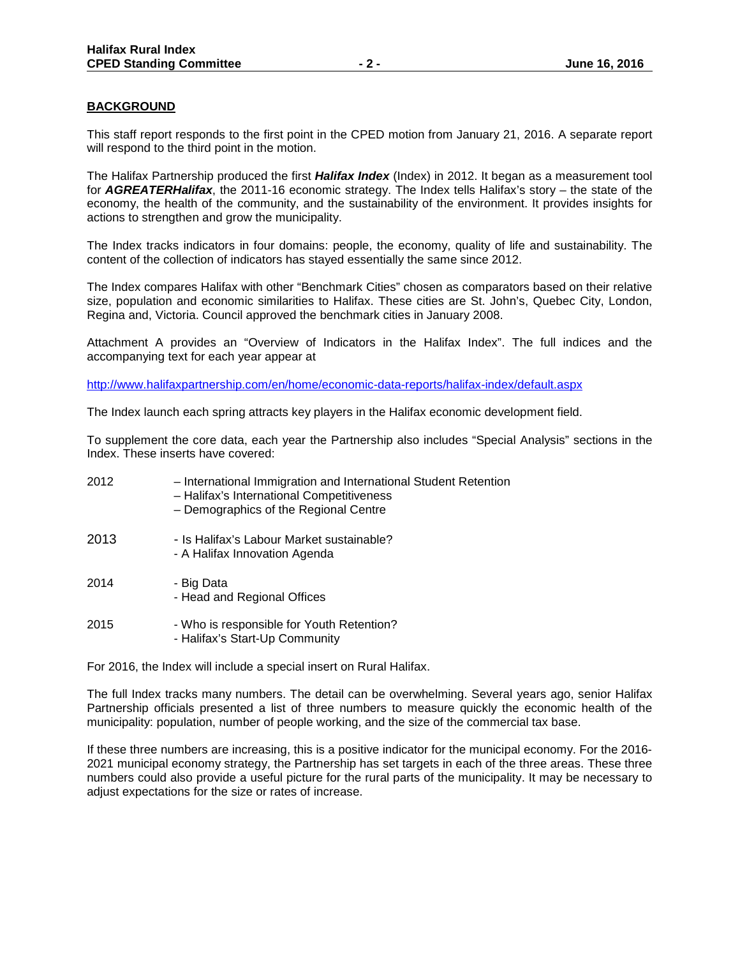### **BACKGROUND**

This staff report responds to the first point in the CPED motion from January 21, 2016. A separate report will respond to the third point in the motion.

The Halifax Partnership produced the first *Halifax Index* (Index) in 2012. It began as a measurement tool for *AGREATERHalifax*[, the 2011-16 economic strategy.](http://www.halifaxpartnership.com/en/home/economic-data-reports/economic-strategy/default.aspx) The Index tells Halifax's story – the state of the economy, the health of the community, and the sustainability of the environment. It provides insights for actions to strengthen and grow the municipality.

The Index tracks indicators in four domains: people, the economy, quality of life and sustainability. The content of the collection of indicators has stayed essentially the same since 2012.

The Index compares Halifax with other "Benchmark Cities" chosen as comparators based on their relative size, population and economic similarities to Halifax. These cities are St. John's, Quebec City, London, Regina and, Victoria. Council approved the benchmark cities in January 2008.

Attachment A provides an "Overview of Indicators in the Halifax Index". The full indices and the accompanying text for each year appear at

<http://www.halifaxpartnership.com/en/home/economic-data-reports/halifax-index/default.aspx>

The Index launch each spring attracts key players in the Halifax economic development field.

To supplement the core data, each year the Partnership also includes "Special Analysis" sections in the Index. These inserts have covered:

| 2012 | - International Immigration and International Student Retention<br>- Halifax's International Competitiveness<br>- Demographics of the Regional Centre |
|------|-------------------------------------------------------------------------------------------------------------------------------------------------------|
| 2013 | - Is Halifax's Labour Market sustainable?<br>- A Halifax Innovation Agenda                                                                            |
| 2014 | - Big Data<br>- Head and Regional Offices                                                                                                             |
| 2015 | - Who is responsible for Youth Retention?<br>- Halifax's Start-Up Community                                                                           |

For 2016, the Index will include a special insert on Rural Halifax.

The full Index tracks many numbers. The detail can be overwhelming. Several years ago, senior Halifax Partnership officials presented a list of three numbers to measure quickly the economic health of the municipality: population, number of people working, and the size of the commercial tax base.

If these three numbers are increasing, this is a positive indicator for the municipal economy. For the 2016- 2021 municipal economy strategy, the Partnership has set targets in each of the three areas. These three numbers could also provide a useful picture for the rural parts of the municipality. It may be necessary to adjust expectations for the size or rates of increase.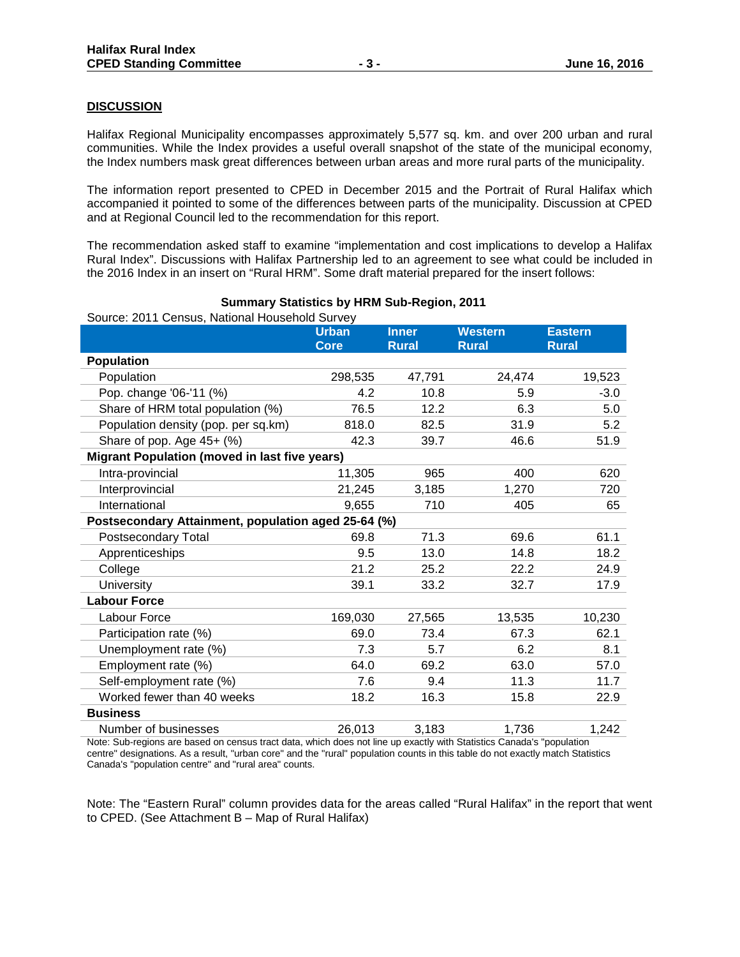### **DISCUSSION**

Halifax Regional Municipality encompasses approximately 5,577 sq. km. and over 200 urban and rural communities. While the Index provides a useful overall snapshot of the state of the municipal economy, the Index numbers mask great differences between urban areas and more rural parts of the municipality.

The information report presented to CPED in December 2015 and the Portrait of Rural Halifax which accompanied it pointed to some of the differences between parts of the municipality. Discussion at CPED and at Regional Council led to the recommendation for this report.

The recommendation asked staff to examine "implementation and cost implications to develop a Halifax Rural Index". Discussions with Halifax Partnership led to an agreement to see what could be included in the 2016 Index in an insert on "Rural HRM". Some draft material prepared for the insert follows:

| Suurce. Zu Li Cerisus, National Huusenoid Survey     | <b>Urban</b> | <b>Inner</b> | <b>Western</b> | <b>Eastern</b> |
|------------------------------------------------------|--------------|--------------|----------------|----------------|
|                                                      | <b>Core</b>  | <b>Rural</b> | <b>Rural</b>   | <b>Rural</b>   |
| <b>Population</b>                                    |              |              |                |                |
| Population                                           | 298,535      | 47,791       | 24,474         | 19,523         |
| Pop. change '06-'11 (%)                              | 4.2          | 10.8         | 5.9            | $-3.0$         |
| Share of HRM total population (%)                    | 76.5         | 12.2         | 6.3            | 5.0            |
| Population density (pop. per sq.km)                  | 818.0        | 82.5         | 31.9           | 5.2            |
| Share of pop. Age 45+ (%)                            | 42.3         | 39.7         | 46.6           | 51.9           |
| <b>Migrant Population (moved in last five years)</b> |              |              |                |                |
| Intra-provincial                                     | 11,305       | 965          | 400            | 620            |
| Interprovincial                                      | 21,245       | 3,185        | 1,270          | 720            |
| International                                        | 9,655        | 710          | 405            | 65             |
| Postsecondary Attainment, population aged 25-64 (%)  |              |              |                |                |
| Postsecondary Total                                  | 69.8         | 71.3         | 69.6           | 61.1           |
| Apprenticeships                                      | 9.5          | 13.0         | 14.8           | 18.2           |
| College                                              | 21.2         | 25.2         | 22.2           | 24.9           |
| <b>University</b>                                    | 39.1         | 33.2         | 32.7           | 17.9           |
| <b>Labour Force</b>                                  |              |              |                |                |
| Labour Force                                         | 169,030      | 27,565       | 13,535         | 10,230         |
| Participation rate (%)                               | 69.0         | 73.4         | 67.3           | 62.1           |
| Unemployment rate (%)                                | 7.3          | 5.7          | 6.2            | 8.1            |
| Employment rate (%)                                  | 64.0         | 69.2         | 63.0           | 57.0           |
| Self-employment rate (%)                             | 7.6          | 9.4          | 11.3           | 11.7           |
| Worked fewer than 40 weeks                           | 18.2         | 16.3         | 15.8           | 22.9           |
| <b>Business</b>                                      |              |              |                |                |
| Number of businesses                                 | 26,013       | 3,183        | 1,736          | 1,242          |

### **Summary Statistics by HRM Sub-Region, 2011**

Source: 2011 Census, National Household Survey

Note: Sub-regions are based on census tract data, which does not line up exactly with Statistics Canada's "population centre" designations. As a result, "urban core" and the "rural" population counts in this table do not exactly match Statistics Canada's "population centre" and "rural area" counts.

Note: The "Eastern Rural" column provides data for the areas called "Rural Halifax" in the report that went to CPED. (See Attachment B – Map of Rural Halifax)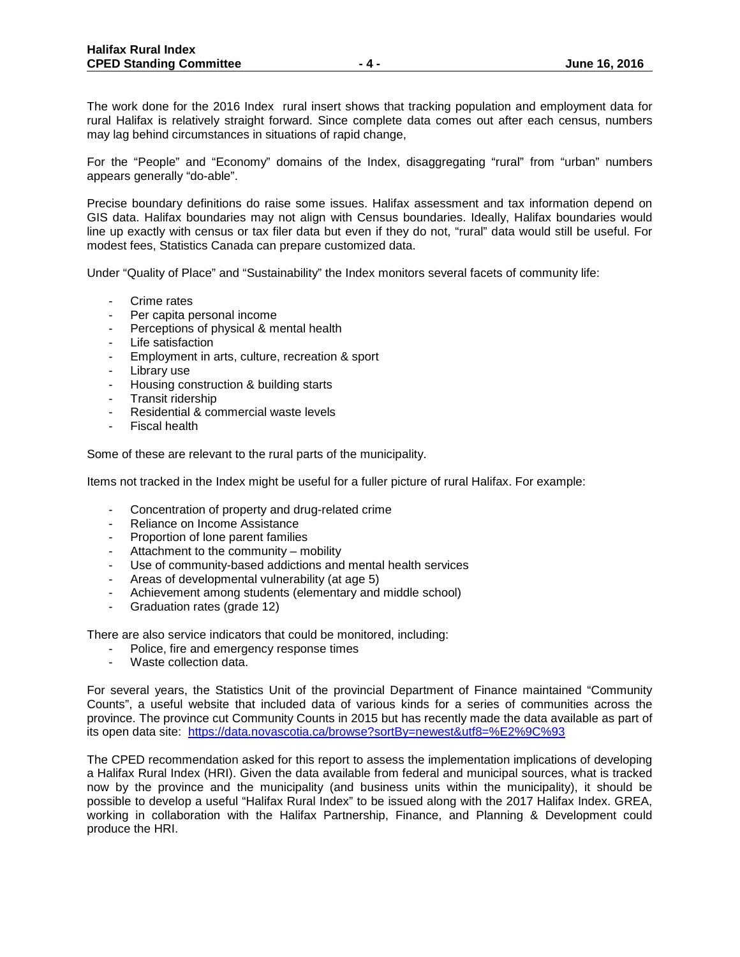The work done for the 2016 Index rural insert shows that tracking population and employment data for rural Halifax is relatively straight forward. Since complete data comes out after each census, numbers may lag behind circumstances in situations of rapid change,

For the "People" and "Economy" domains of the Index, disaggregating "rural" from "urban" numbers appears generally "do-able".

Precise boundary definitions do raise some issues. Halifax assessment and tax information depend on GIS data. Halifax boundaries may not align with Census boundaries. Ideally, Halifax boundaries would line up exactly with census or tax filer data but even if they do not, "rural" data would still be useful. For modest fees, Statistics Canada can prepare customized data.

Under "Quality of Place" and "Sustainability" the Index monitors several facets of community life:

- Crime rates
- Per capita personal income
- Perceptions of physical & mental health
- Life satisfaction
- Employment in arts, culture, recreation & sport
- Library use
- Housing construction & building starts
- Transit ridership
- Residential & commercial waste levels
- Fiscal health

Some of these are relevant to the rural parts of the municipality.

Items not tracked in the Index might be useful for a fuller picture of rural Halifax. For example:

- Concentration of property and drug-related crime
- Reliance on Income Assistance
- Proportion of lone parent families
- Attachment to the community mobility
- Use of community-based addictions and mental health services
- Areas of developmental vulnerability (at age 5)
- Achievement among students (elementary and middle school)
- Graduation rates (grade 12)

There are also service indicators that could be monitored, including:

- Police, fire and emergency response times
- Waste collection data.

For several years, the Statistics Unit of the provincial Department of Finance maintained "Community Counts", a useful website that included data of various kinds for a series of communities across the province. The province cut Community Counts in 2015 but has recently made the data available as part of its open data site: [https://data.novascotia.ca/browse?sortBy=newest&utf8=%E2%9C%93](https://data.novascotia.ca/browse?sortBy=newest&utf8=%E2%9C%93%23_blank)

The CPED recommendation asked for this report to assess the implementation implications of developing a Halifax Rural Index (HRI). Given the data available from federal and municipal sources, what is tracked now by the province and the municipality (and business units within the municipality), it should be possible to develop a useful "Halifax Rural Index" to be issued along with the 2017 Halifax Index. GREA, working in collaboration with the Halifax Partnership, Finance, and Planning & Development could produce the HRI.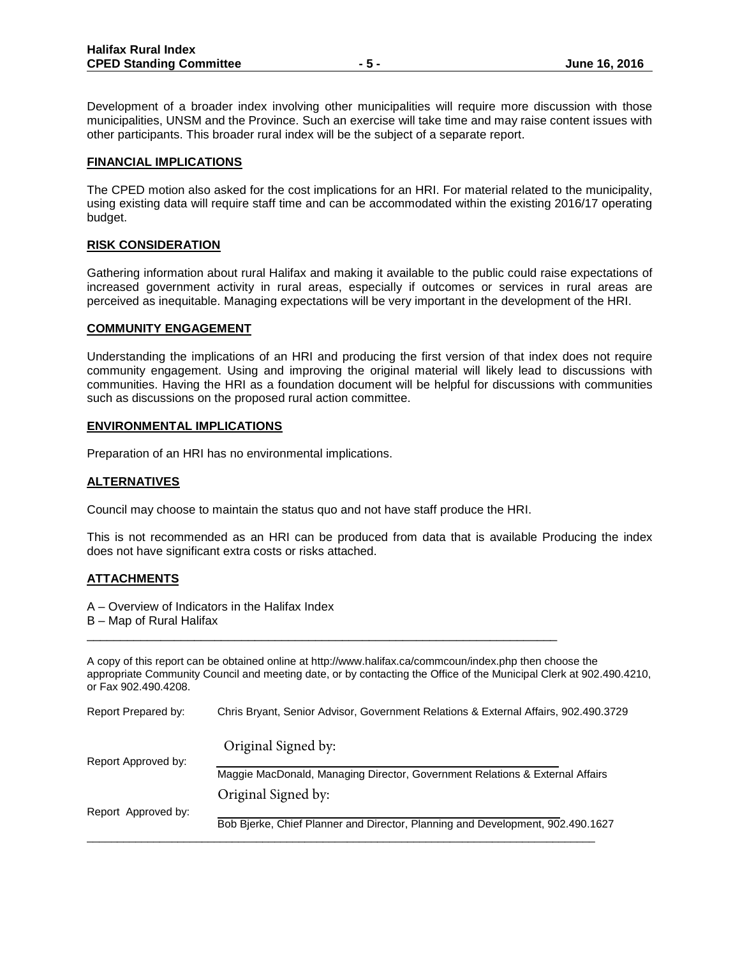Development of a broader index involving other municipalities will require more discussion with those municipalities, UNSM and the Province. Such an exercise will take time and may raise content issues with other participants. This broader rural index will be the subject of a separate report.

### **FINANCIAL IMPLICATIONS**

The CPED motion also asked for the cost implications for an HRI. For material related to the municipality, using existing data will require staff time and can be accommodated within the existing 2016/17 operating budget.

### **RISK CONSIDERATION**

Gathering information about rural Halifax and making it available to the public could raise expectations of increased government activity in rural areas, especially if outcomes or services in rural areas are perceived as inequitable. Managing expectations will be very important in the development of the HRI.

### **COMMUNITY ENGAGEMENT**

Understanding the implications of an HRI and producing the first version of that index does not require community engagement. Using and improving the original material will likely lead to discussions with communities. Having the HRI as a foundation document will be helpful for discussions with communities such as discussions on the proposed rural action committee.

### **ENVIRONMENTAL IMPLICATIONS**

Preparation of an HRI has no environmental implications.

### **ALTERNATIVES**

Council may choose to maintain the status quo and not have staff produce the HRI.

\_\_\_\_\_\_\_\_\_\_\_\_\_\_\_\_\_\_\_\_\_\_\_\_\_\_\_\_\_\_\_\_\_\_\_\_\_\_\_\_\_\_\_\_\_\_\_\_\_\_\_\_\_\_\_\_\_\_\_\_\_\_\_\_\_\_\_\_\_\_

This is not recommended as an HRI can be produced from data that is available Producing the index does not have significant extra costs or risks attached.

### **ATTACHMENTS**

A – Overview of Indicators in the Halifax Index

B – Map of Rural Halifax

A copy of this report can be obtained online at http://www.halifax.ca/commcoun/index.php then choose the appropriate Community Council and meeting date, or by contacting the Office of the Municipal Clerk at 902.490.4210, or Fax 902.490.4208.

| Report Prepared by: | Chris Bryant, Senior Advisor, Government Relations & External Affairs, 902.490.3729 |
|---------------------|-------------------------------------------------------------------------------------|
|                     | Original Signed by:                                                                 |
| Report Approved by: | Maggie MacDonald, Managing Director, Government Relations & External Affairs        |
|                     | Original Signed by:                                                                 |
| Report Approved by: | Bob Bjerke, Chief Planner and Director, Planning and Development, 902.490.1627      |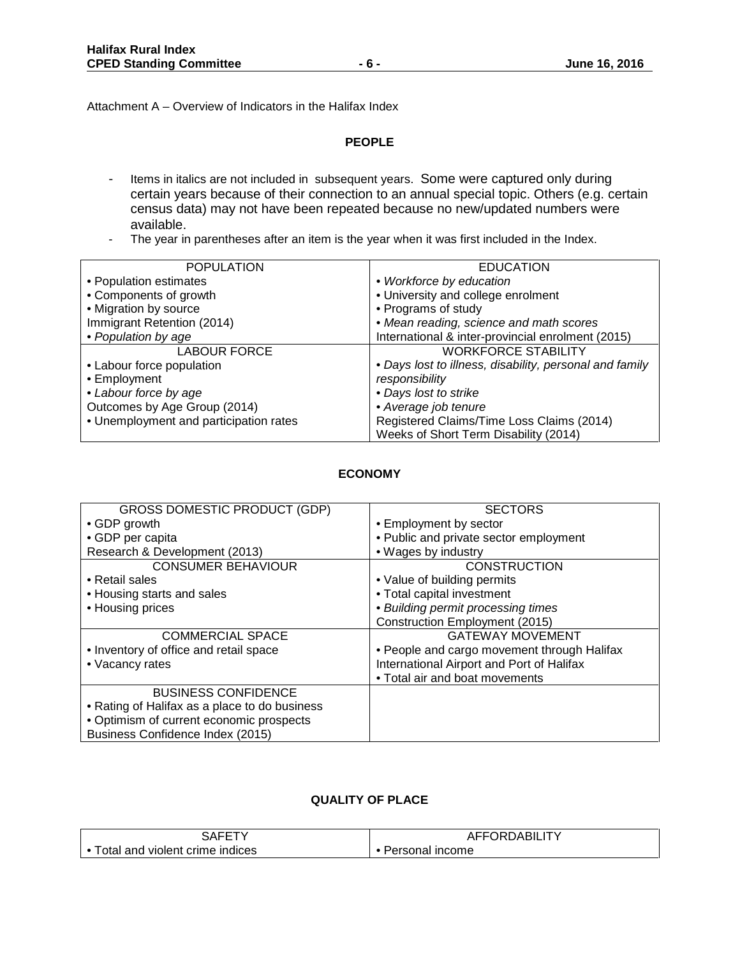Attachment A – Overview of Indicators in the Halifax Index

### **PEOPLE**

- Items in italics are not included in subsequent years. Some were captured only during certain years because of their connection to an annual special topic. Others (e.g. certain census data) may not have been repeated because no new/updated numbers were available.
- The year in parentheses after an item is the year when it was first included in the Index.

| <b>POPULATION</b>                      | <b>EDUCATION</b>                                        |
|----------------------------------------|---------------------------------------------------------|
| • Population estimates                 | • Workforce by education                                |
| • Components of growth                 | • University and college enrolment                      |
| • Migration by source                  | • Programs of study                                     |
| Immigrant Retention (2014)             | • Mean reading, science and math scores                 |
| • Population by age                    | International & inter-provincial enrolment (2015)       |
| <b>LABOUR FORCE</b>                    | <b>WORKFORCE STABILITY</b>                              |
| • Labour force population              | • Days lost to illness, disability, personal and family |
| • Employment                           | responsibility                                          |
| • Labour force by age                  | • Days lost to strike                                   |
| Outcomes by Age Group (2014)           | • Average job tenure                                    |
| • Unemployment and participation rates | Registered Claims/Time Loss Claims (2014)               |
|                                        | Weeks of Short Term Disability (2014)                   |

### **ECONOMY**

| <b>GROSS DOMESTIC PRODUCT (GDP)</b>           | <b>SECTORS</b>                              |
|-----------------------------------------------|---------------------------------------------|
| • GDP growth                                  | • Employment by sector                      |
| • GDP per capita                              | • Public and private sector employment      |
| Research & Development (2013)                 | • Wages by industry                         |
| <b>CONSUMER BEHAVIOUR</b>                     | <b>CONSTRUCTION</b>                         |
| • Retail sales                                | • Value of building permits                 |
| • Housing starts and sales                    | • Total capital investment                  |
| • Housing prices                              | • Building permit processing times          |
|                                               | Construction Employment (2015)              |
| <b>COMMERCIAL SPACE</b>                       | <b>GATEWAY MOVEMENT</b>                     |
| • Inventory of office and retail space        | • People and cargo movement through Halifax |
| • Vacancy rates                               | International Airport and Port of Halifax   |
|                                               | • Total air and boat movements              |
| <b>BUSINESS CONFIDENCE</b>                    |                                             |
| • Rating of Halifax as a place to do business |                                             |
| • Optimism of current economic prospects      |                                             |
| Business Confidence Index (2015)              |                                             |

# **QUALITY OF PLACE**

| ¬ ^                   | <b>FFADD</b>      |
|-----------------------|-------------------|
| $\Delta$ $\sim$       | <b>URDABILITY</b> |
| הרוכי                 | AFFO              |
| otal                  | <b>Income</b>     |
| and                   | ≧rsonal ⊾         |
| violent crime indices | <u>ا ت</u>        |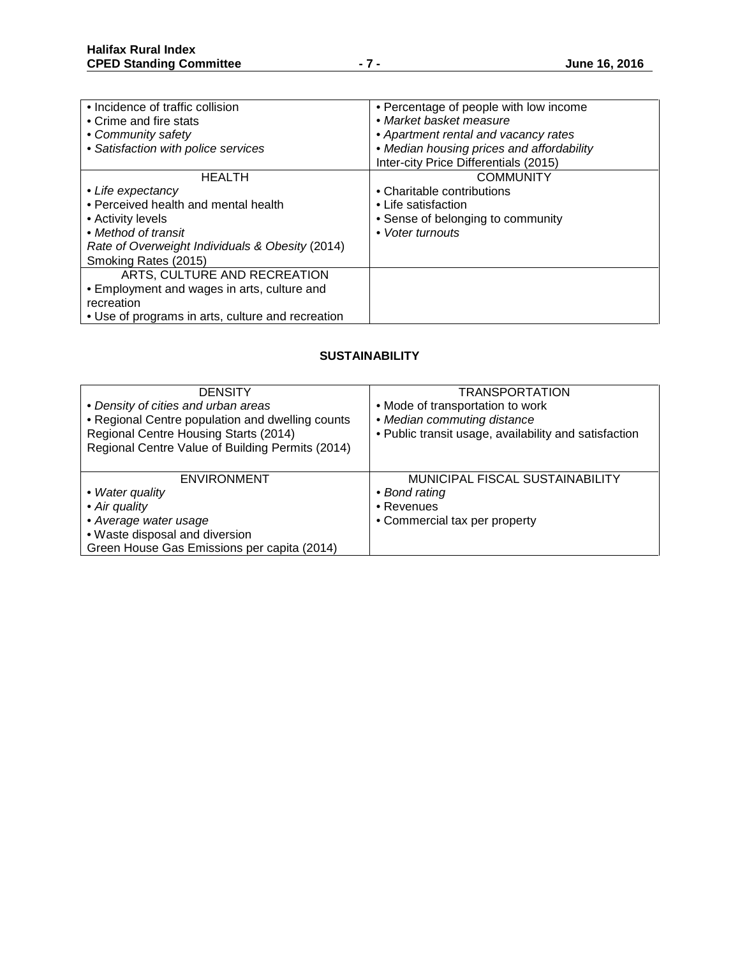| • Incidence of traffic collision                  | • Percentage of people with low income    |
|---------------------------------------------------|-------------------------------------------|
| • Crime and fire stats                            | • Market basket measure                   |
| • Community safety                                | • Apartment rental and vacancy rates      |
| • Satisfaction with police services               | • Median housing prices and affordability |
|                                                   | Inter-city Price Differentials (2015)     |
| <b>HEALTH</b>                                     | <b>COMMUNITY</b>                          |
| • Life expectancy                                 | • Charitable contributions                |
| • Perceived health and mental health              | • Life satisfaction                       |
| • Activity levels                                 | • Sense of belonging to community         |
| • Method of transit                               | • Voter turnouts                          |
| Rate of Overweight Individuals & Obesity (2014)   |                                           |
| Smoking Rates (2015)                              |                                           |
| ARTS, CULTURE AND RECREATION                      |                                           |
| • Employment and wages in arts, culture and       |                                           |
| recreation                                        |                                           |
| • Use of programs in arts, culture and recreation |                                           |

## **SUSTAINABILITY**

| <b>DENSITY</b><br>• Density of cities and urban areas<br>• Regional Centre population and dwelling counts<br>Regional Centre Housing Starts (2014)<br>Regional Centre Value of Building Permits (2014) | <b>TRANSPORTATION</b><br>• Mode of transportation to work<br>• Median commuting distance<br>• Public transit usage, availability and satisfaction |
|--------------------------------------------------------------------------------------------------------------------------------------------------------------------------------------------------------|---------------------------------------------------------------------------------------------------------------------------------------------------|
| <b>ENVIRONMENT</b>                                                                                                                                                                                     | MUNICIPAL FISCAL SUSTAINABILITY                                                                                                                   |
| • Water quality                                                                                                                                                                                        | • Bond rating                                                                                                                                     |
| • Air quality                                                                                                                                                                                          | • Revenues                                                                                                                                        |
| • Average water usage                                                                                                                                                                                  | • Commercial tax per property                                                                                                                     |
| • Waste disposal and diversion                                                                                                                                                                         |                                                                                                                                                   |
| Green House Gas Emissions per capita (2014)                                                                                                                                                            |                                                                                                                                                   |